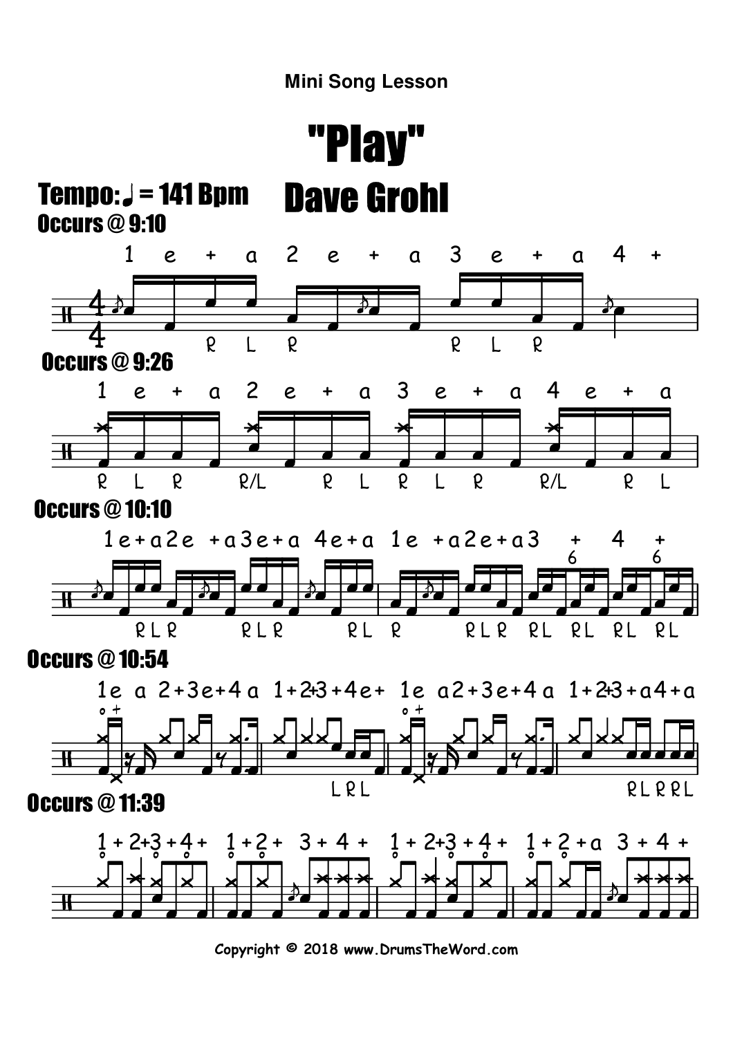

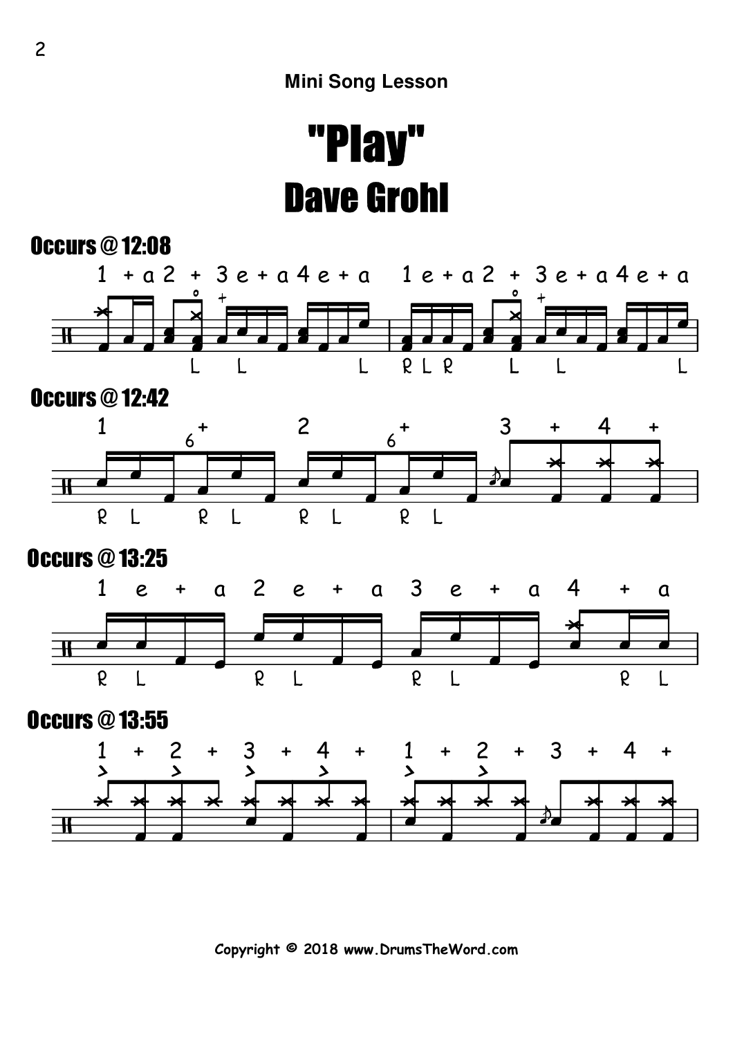



**Copyright © 2018 www.DrumsTheWord.com**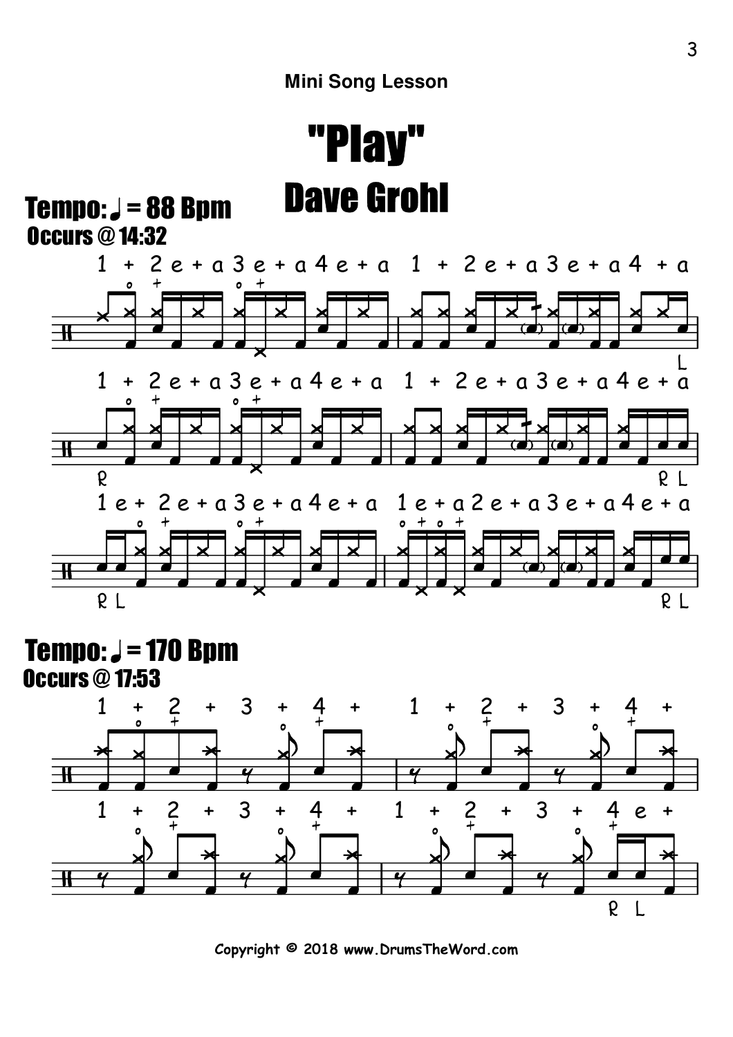$Tempo: J = 88 Bpm$ Occurs @ 14:32



#### Occurs @ 17:53 Tempo:  $J = 170$  Bpm



**Copyright © 2018 www.DrumsTheWord.com**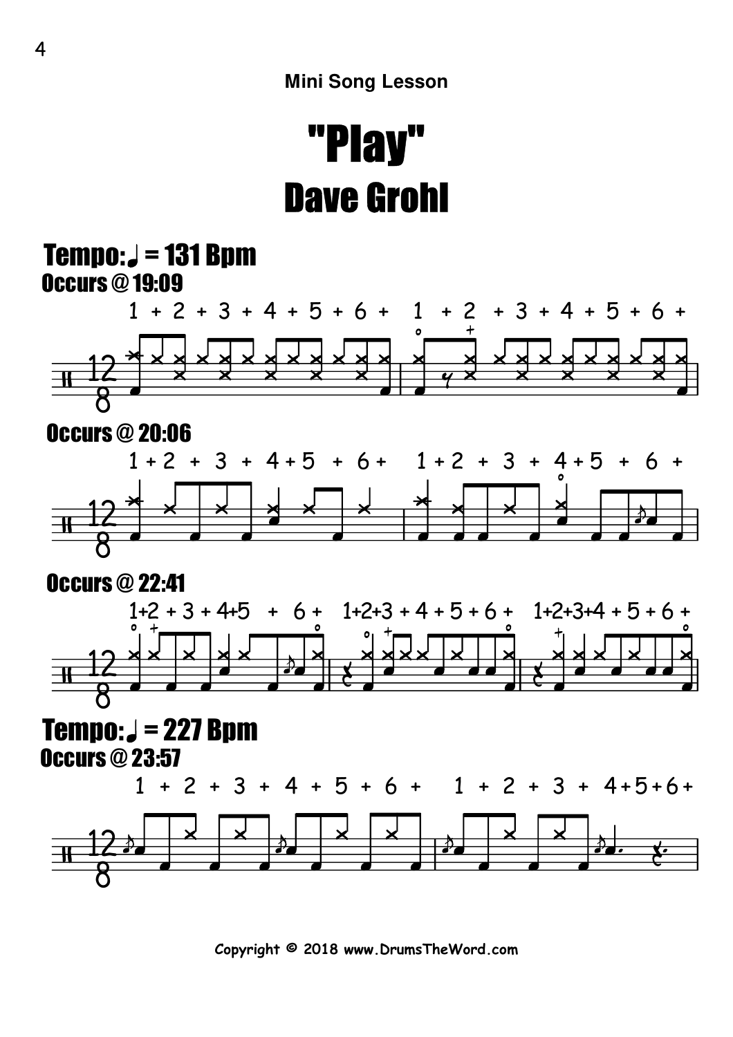#### Occurs @ 19:09  $Tempo: J = 131 Bpm$



Occurs @ 23:57



**Copyright © 2018 www.DrumsTheWord.com**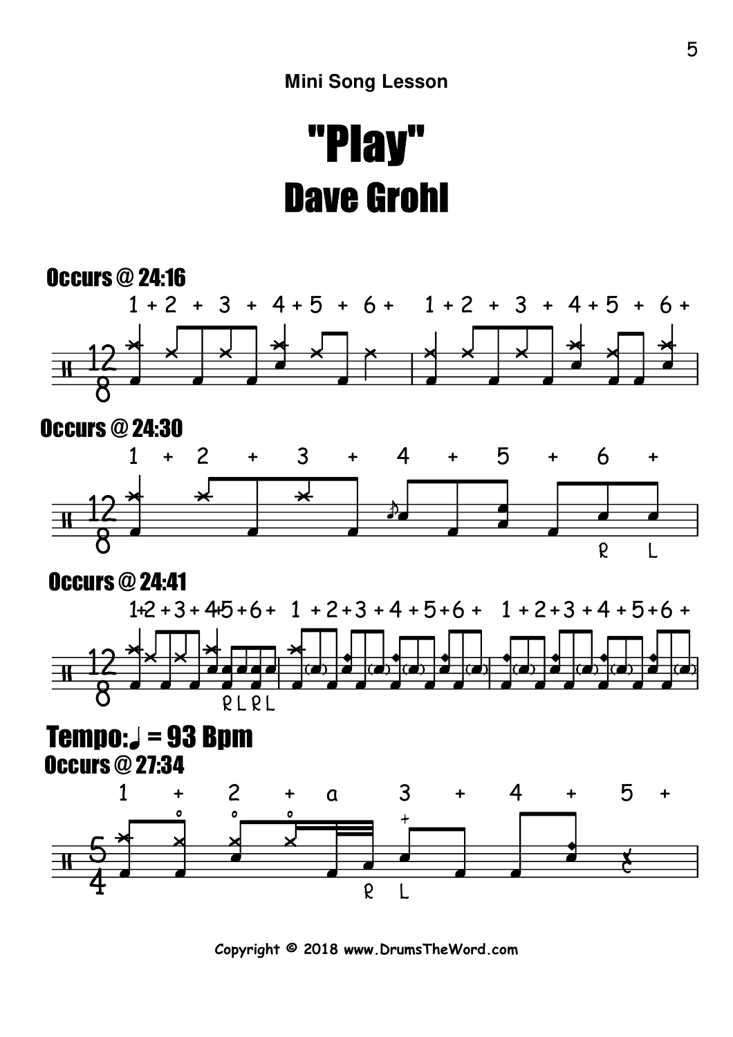

**Copyright © 2018 www.DrumsTheWord.com**